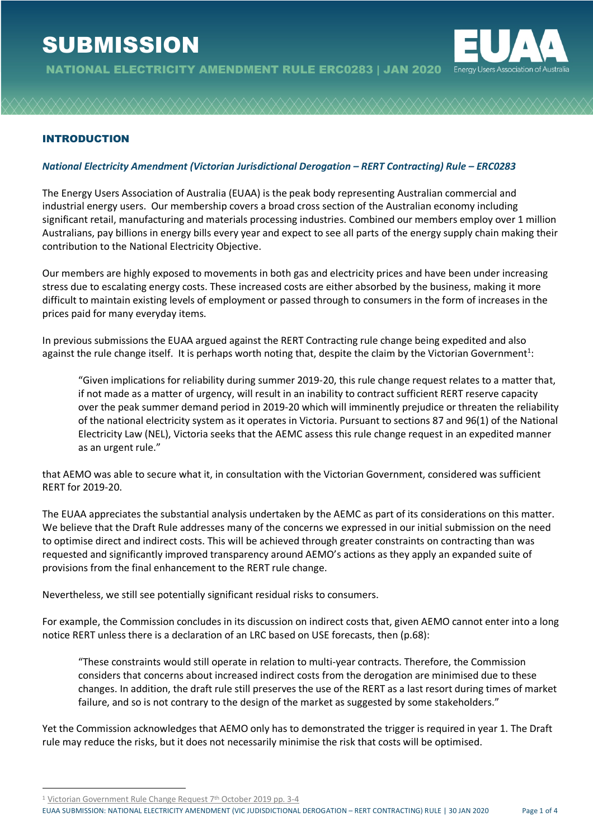# **SUBMISSION**





## INTRODUCTION

#### *National Electricity Amendment (Victorian Jurisdictional Derogation – RERT Contracting) Rule – ERC0283*

The Energy Users Association of Australia (EUAA) is the peak body representing Australian commercial and industrial energy users. Our membership covers a broad cross section of the Australian economy including significant retail, manufacturing and materials processing industries. Combined our members employ over 1 million Australians, pay billions in energy bills every year and expect to see all parts of the energy supply chain making their contribution to the National Electricity Objective.

Our members are highly exposed to movements in both gas and electricity prices and have been under increasing stress due to escalating energy costs. These increased costs are either absorbed by the business, making it more difficult to maintain existing levels of employment or passed through to consumers in the form of increases in the prices paid for many everyday items.

In previous submissions the EUAA argued against the RERT Contracting rule change being expedited and also against the rule change itself. It is perhaps worth noting that, despite the claim by the Victorian Government<sup>1</sup>:

"Given implications for reliability during summer 2019-20, this rule change request relates to a matter that, if not made as a matter of urgency, will result in an inability to contract sufficient RERT reserve capacity over the peak summer demand period in 2019-20 which will imminently prejudice or threaten the reliability of the national electricity system as it operates in Victoria. Pursuant to sections 87 and 96(1) of the National Electricity Law (NEL), Victoria seeks that the AEMC assess this rule change request in an expedited manner as an urgent rule."

that AEMO was able to secure what it, in consultation with the Victorian Government, considered was sufficient RERT for 2019-20.

The EUAA appreciates the substantial analysis undertaken by the AEMC as part of its considerations on this matter. We believe that the Draft Rule addresses many of the concerns we expressed in our initial submission on the need to optimise direct and indirect costs. This will be achieved through greater constraints on contracting than was requested and significantly improved transparency around AEMO's actions as they apply an expanded suite of provisions from the final enhancement to the RERT rule change.

Nevertheless, we still see potentially significant residual risks to consumers.

For example, the Commission concludes in its discussion on indirect costs that, given AEMO cannot enter into a long notice RERT unless there is a declaration of an LRC based on USE forecasts, then (p.68):

"These constraints would still operate in relation to multi-year contracts. Therefore, the Commission considers that concerns about increased indirect costs from the derogation are minimised due to these changes. In addition, the draft rule still preserves the use of the RERT as a last resort during times of market failure, and so is not contrary to the design of the market as suggested by some stakeholders."

Yet the Commission acknowledges that AEMO only has to demonstrated the trigger is required in year 1. The Draft rule may reduce the risks, but it does not necessarily minimise the risk that costs will be optimised.

<sup>1</sup> Victorian Government Rule Change Request 7<sup>th</sup> October 2019 pp. 3-4

EUAA SUBMISSION: NATIONAL ELECTRICITY AMENDMENT (VIC JUDISDICTIONAL DEROGATION – RERT CONTRACTING) RULE | 30 JAN 2020 Page 1 of 4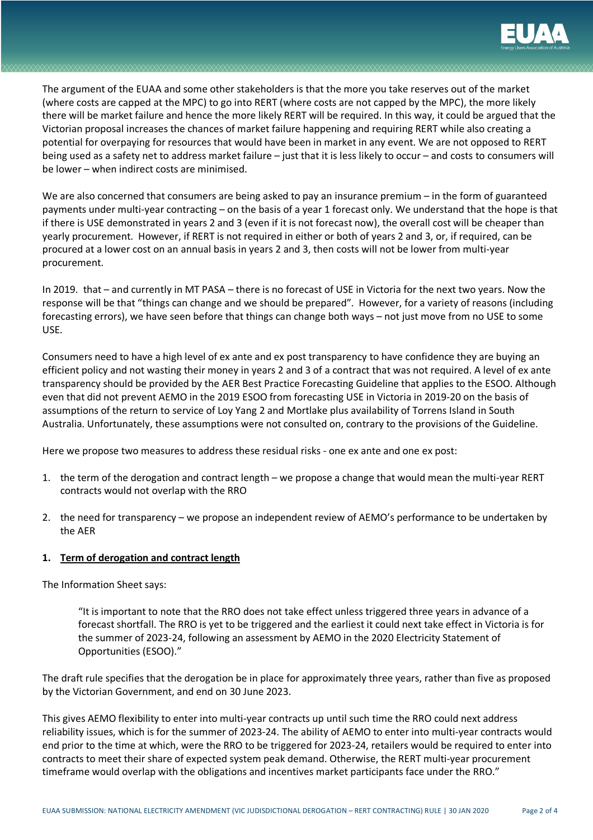

# The argument of the EUAA and some other stakeholders is that the more you take reserves out of the market (where costs are capped at the MPC) to go into RERT (where costs are not capped by the MPC), the more likely there will be market failure and hence the more likely RERT will be required. In this way, it could be argued that the Victorian proposal increases the chances of market failure happening and requiring RERT while also creating a potential for overpaying for resources that would have been in market in any event. We are not opposed to RERT being used as a safety net to address market failure – just that it is less likely to occur – and costs to consumers will be lower – when indirect costs are minimised.

We are also concerned that consumers are being asked to pay an insurance premium – in the form of guaranteed payments under multi-year contracting – on the basis of a year 1 forecast only. We understand that the hope is that if there is USE demonstrated in years 2 and 3 (even if it is not forecast now), the overall cost will be cheaper than yearly procurement. However, if RERT is not required in either or both of years 2 and 3, or, if required, can be procured at a lower cost on an annual basis in years 2 and 3, then costs will not be lower from multi-year procurement.

In 2019. that – and currently in MT PASA – there is no forecast of USE in Victoria for the next two years. Now the response will be that "things can change and we should be prepared". However, for a variety of reasons (including forecasting errors), we have seen before that things can change both ways – not just move from no USE to some USE.

Consumers need to have a high level of ex ante and ex post transparency to have confidence they are buying an efficient policy and not wasting their money in years 2 and 3 of a contract that was not required. A level of ex ante transparency should be provided by the AER Best Practice Forecasting Guideline that applies to the ESOO. Although even that did not prevent AEMO in the 2019 ESOO from forecasting USE in Victoria in 2019-20 on the basis of assumptions of the return to service of Loy Yang 2 and Mortlake plus availability of Torrens Island in South Australia. Unfortunately, these assumptions were not consulted on, contrary to the provisions of the Guideline.

Here we propose two measures to address these residual risks - one ex ante and one ex post:

- 1. the term of the derogation and contract length we propose a change that would mean the multi-year RERT contracts would not overlap with the RRO
- 2. the need for transparency we propose an independent review of AEMO's performance to be undertaken by the AER

### **1. Term of derogation and contract length**

The Information Sheet says:

"It is important to note that the RRO does not take effect unless triggered three years in advance of a forecast shortfall. The RRO is yet to be triggered and the earliest it could next take effect in Victoria is for the summer of 2023-24, following an assessment by AEMO in the 2020 Electricity Statement of Opportunities (ESOO)."

The draft rule specifies that the derogation be in place for approximately three years, rather than five as proposed by the Victorian Government, and end on 30 June 2023.

This gives AEMO flexibility to enter into multi-year contracts up until such time the RRO could next address reliability issues, which is for the summer of 2023-24. The ability of AEMO to enter into multi-year contracts would end prior to the time at which, were the RRO to be triggered for 2023-24, retailers would be required to enter into contracts to meet their share of expected system peak demand. Otherwise, the RERT multi-year procurement timeframe would overlap with the obligations and incentives market participants face under the RRO."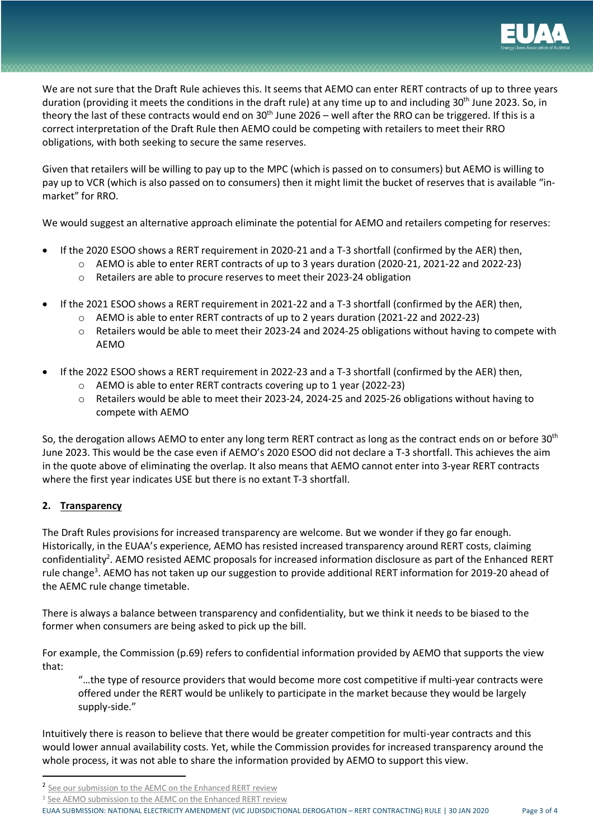

We are not sure that the Draft Rule achieves this. It seems that AEMO can enter RERT contracts of up to three years duration (providing it meets the conditions in the draft rule) at any time up to and including 30<sup>th</sup> June 2023. So, in theory the last of these contracts would end on  $30<sup>th</sup>$  June 2026 – well after the RRO can be triggered. If this is a correct interpretation of the Draft Rule then AEMO could be competing with retailers to meet their RRO obligations, with both seeking to secure the same reserves.

Given that retailers will be willing to pay up to the MPC (which is passed on to consumers) but AEMO is willing to pay up to VCR (which is also passed on to consumers) then it might limit the bucket of reserves that is available "inmarket" for RRO.

We would suggest an alternative approach eliminate the potential for AEMO and retailers competing for reserves:

- If the 2020 ESOO shows a RERT requirement in 2020-21 and a T-3 shortfall (confirmed by the AER) then,
	- o AEMO is able to enter RERT contracts of up to 3 years duration (2020-21, 2021-22 and 2022-23)
	- o Retailers are able to procure reserves to meet their 2023-24 obligation
- If the 2021 ESOO shows a RERT requirement in 2021-22 and a T-3 shortfall (confirmed by the AER) then,
	- o AEMO is able to enter RERT contracts of up to 2 years duration (2021-22 and 2022-23)
	- o Retailers would be able to meet their 2023-24 and 2024-25 obligations without having to compete with AEMO
- If the 2022 ESOO shows a RERT requirement in 2022-23 and a T-3 shortfall (confirmed by the AER) then,
	- o AEMO is able to enter RERT contracts covering up to 1 year (2022-23)
	- o Retailers would be able to meet their 2023-24, 2024-25 and 2025-26 obligations without having to compete with AEMO

So, the derogation allows AEMO to enter any long term RERT contract as long as the contract ends on or before 30<sup>th</sup> June 2023. This would be the case even if AEMO's 2020 ESOO did not declare a T-3 shortfall. This achieves the aim in the quote above of eliminating the overlap. It also means that AEMO cannot enter into 3-year RERT contracts where the first year indicates USE but there is no extant T-3 shortfall.

## **2. Transparency**

The Draft Rules provisions for increased transparency are welcome. But we wonder if they go far enough. Historically, in the EUAA's experience, AEMO has resisted increased transparency around RERT costs, claiming confidentiality<sup>2</sup>. AEMO resisted AEMC proposals for increased information disclosure as part of the Enhanced RERT rule change<sup>3</sup>. AEMO has not taken up our suggestion to provide additional RERT information for 2019-20 ahead of the AEMC rule change timetable.

There is always a balance between transparency and confidentiality, but we think it needs to be biased to the former when consumers are being asked to pick up the bill.

For example, the Commission (p.69) refers to confidential information provided by AEMO that supports the view that:

"…the type of resource providers that would become more cost competitive if multi-year contracts were offered under the RERT would be unlikely to participate in the market because they would be largely supply-side."

Intuitively there is reason to believe that there would be greater competition for multi-year contracts and this would lower annual availability costs. Yet, while the Commission provides for increased transparency around the whole process, it was not able to share the information provided by AEMO to support this view.

EUAA SUBMISSION: NATIONAL ELECTRICITY AMENDMENT (VIC JUDISDICTIONAL DEROGATION – RERT CONTRACTING) RULE | 30 JAN 2020 Page 3 of 4

 <sup>2</sup> See our submission to the AEMC on the Enhanced RERT review

<sup>&</sup>lt;sup>3</sup> See AEMO submission to the AEMC on the Enhanced RERT review